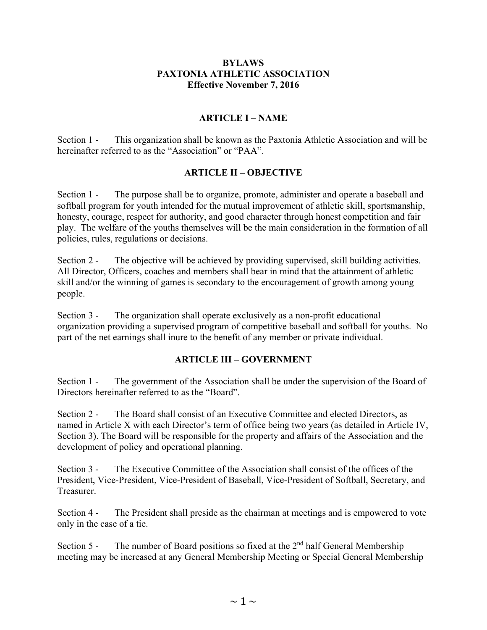#### **BYLAWS PAXTONIA ATHLETIC ASSOCIATION Effective November 7, 2016**

#### **ARTICLE I – NAME**

Section 1 - This organization shall be known as the Paxtonia Athletic Association and will be hereinafter referred to as the "Association" or "PAA".

#### **ARTICLE II – OBJECTIVE**

Section 1 - The purpose shall be to organize, promote, administer and operate a baseball and softball program for youth intended for the mutual improvement of athletic skill, sportsmanship, honesty, courage, respect for authority, and good character through honest competition and fair play. The welfare of the youths themselves will be the main consideration in the formation of all policies, rules, regulations or decisions.

Section 2 - The objective will be achieved by providing supervised, skill building activities. All Director, Officers, coaches and members shall bear in mind that the attainment of athletic skill and/or the winning of games is secondary to the encouragement of growth among young people.

Section 3 - The organization shall operate exclusively as a non-profit educational organization providing a supervised program of competitive baseball and softball for youths. No part of the net earnings shall inure to the benefit of any member or private individual.

#### **ARTICLE III – GOVERNMENT**

Section 1 - The government of the Association shall be under the supervision of the Board of Directors hereinafter referred to as the "Board".

Section 2 - The Board shall consist of an Executive Committee and elected Directors, as named in Article X with each Director's term of office being two years (as detailed in Article IV, Section 3). The Board will be responsible for the property and affairs of the Association and the development of policy and operational planning.

Section 3 - The Executive Committee of the Association shall consist of the offices of the President, Vice-President, Vice-President of Baseball, Vice-President of Softball, Secretary, and Treasurer.

Section 4 - The President shall preside as the chairman at meetings and is empowered to vote only in the case of a tie.

Section  $5$  - The number of Board positions so fixed at the  $2<sup>nd</sup>$  half General Membership meeting may be increased at any General Membership Meeting or Special General Membership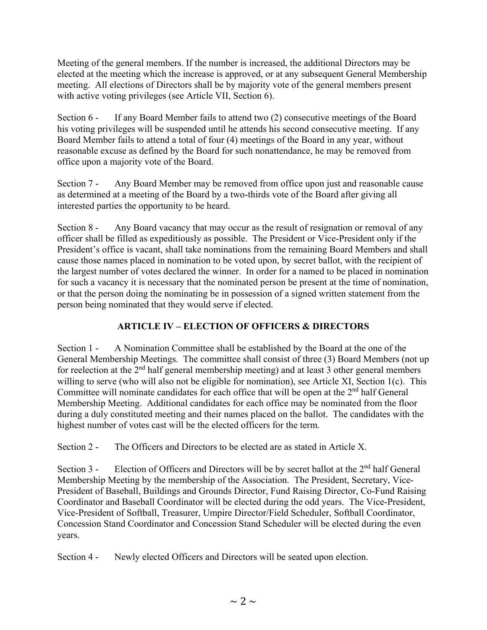Meeting of the general members. If the number is increased, the additional Directors may be elected at the meeting which the increase is approved, or at any subsequent General Membership meeting. All elections of Directors shall be by majority vote of the general members present with active voting privileges (see Article VII, Section 6).

Section 6 - If any Board Member fails to attend two (2) consecutive meetings of the Board his voting privileges will be suspended until he attends his second consecutive meeting. If any Board Member fails to attend a total of four (4) meetings of the Board in any year, without reasonable excuse as defined by the Board for such nonattendance, he may be removed from office upon a majority vote of the Board.

Section 7 - Any Board Member may be removed from office upon just and reasonable cause as determined at a meeting of the Board by a two-thirds vote of the Board after giving all interested parties the opportunity to be heard.

Section 8 - Any Board vacancy that may occur as the result of resignation or removal of any officer shall be filled as expeditiously as possible. The President or Vice-President only if the President's office is vacant, shall take nominations from the remaining Board Members and shall cause those names placed in nomination to be voted upon, by secret ballot, with the recipient of the largest number of votes declared the winner. In order for a named to be placed in nomination for such a vacancy it is necessary that the nominated person be present at the time of nomination, or that the person doing the nominating be in possession of a signed written statement from the person being nominated that they would serve if elected.

# **ARTICLE IV – ELECTION OF OFFICERS & DIRECTORS**

Section 1 - A Nomination Committee shall be established by the Board at the one of the General Membership Meetings. The committee shall consist of three (3) Board Members (not up for reelection at the  $2<sup>nd</sup>$  half general membership meeting) and at least 3 other general members willing to serve (who will also not be eligible for nomination), see Article XI, Section 1(c). This Committee will nominate candidates for each office that will be open at the  $2<sup>nd</sup>$  half General Membership Meeting. Additional candidates for each office may be nominated from the floor during a duly constituted meeting and their names placed on the ballot. The candidates with the highest number of votes cast will be the elected officers for the term.

Section 2 - The Officers and Directors to be elected are as stated in Article X.

Section 3 - Election of Officers and Directors will be by secret ballot at the 2<sup>nd</sup> half General Membership Meeting by the membership of the Association. The President, Secretary, Vice-President of Baseball, Buildings and Grounds Director, Fund Raising Director, Co-Fund Raising Coordinator and Baseball Coordinator will be elected during the odd years. The Vice-President, Vice-President of Softball, Treasurer, Umpire Director/Field Scheduler, Softball Coordinator, Concession Stand Coordinator and Concession Stand Scheduler will be elected during the even years.

Section 4 - Newly elected Officers and Directors will be seated upon election.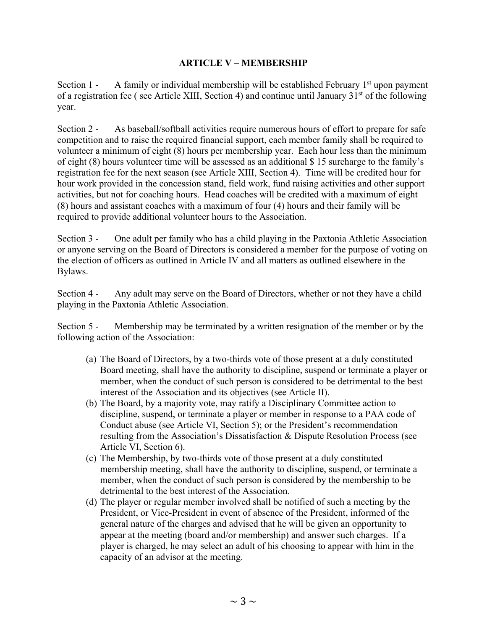#### **ARTICLE V – MEMBERSHIP**

Section 1 - A family or individual membership will be established February  $1<sup>st</sup>$  upon payment of a registration fee (see Article XIII, Section 4) and continue until January  $31<sup>st</sup>$  of the following year.

Section 2 - As baseball/softball activities require numerous hours of effort to prepare for safe competition and to raise the required financial support, each member family shall be required to volunteer a minimum of eight (8) hours per membership year. Each hour less than the minimum of eight (8) hours volunteer time will be assessed as an additional \$ 15 surcharge to the family's registration fee for the next season (see Article XIII, Section 4). Time will be credited hour for hour work provided in the concession stand, field work, fund raising activities and other support activities, but not for coaching hours. Head coaches will be credited with a maximum of eight (8) hours and assistant coaches with a maximum of four (4) hours and their family will be required to provide additional volunteer hours to the Association.

Section 3 - One adult per family who has a child playing in the Paxtonia Athletic Association or anyone serving on the Board of Directors is considered a member for the purpose of voting on the election of officers as outlined in Article IV and all matters as outlined elsewhere in the Bylaws.

Section 4 - Any adult may serve on the Board of Directors, whether or not they have a child playing in the Paxtonia Athletic Association.

Section 5 - Membership may be terminated by a written resignation of the member or by the following action of the Association:

- (a) The Board of Directors, by a two-thirds vote of those present at a duly constituted Board meeting, shall have the authority to discipline, suspend or terminate a player or member, when the conduct of such person is considered to be detrimental to the best interest of the Association and its objectives (see Article II).
- (b) The Board, by a majority vote, may ratify a Disciplinary Committee action to discipline, suspend, or terminate a player or member in response to a PAA code of Conduct abuse (see Article VI, Section 5); or the President's recommendation resulting from the Association's Dissatisfaction & Dispute Resolution Process (see Article VI, Section 6).
- (c) The Membership, by two-thirds vote of those present at a duly constituted membership meeting, shall have the authority to discipline, suspend, or terminate a member, when the conduct of such person is considered by the membership to be detrimental to the best interest of the Association.
- (d) The player or regular member involved shall be notified of such a meeting by the President, or Vice-President in event of absence of the President, informed of the general nature of the charges and advised that he will be given an opportunity to appear at the meeting (board and/or membership) and answer such charges. If a player is charged, he may select an adult of his choosing to appear with him in the capacity of an advisor at the meeting.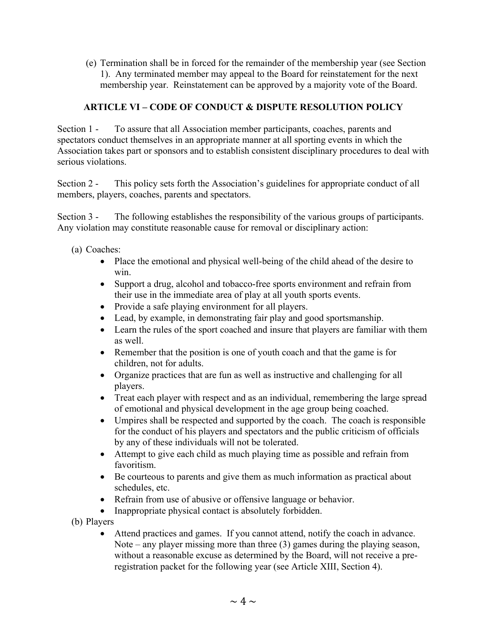(e) Termination shall be in forced for the remainder of the membership year (see Section 1). Any terminated member may appeal to the Board for reinstatement for the next membership year. Reinstatement can be approved by a majority vote of the Board.

## **ARTICLE VI – CODE OF CONDUCT & DISPUTE RESOLUTION POLICY**

Section 1 - To assure that all Association member participants, coaches, parents and spectators conduct themselves in an appropriate manner at all sporting events in which the Association takes part or sponsors and to establish consistent disciplinary procedures to deal with serious violations.

Section 2 - This policy sets forth the Association's guidelines for appropriate conduct of all members, players, coaches, parents and spectators.

Section 3 - The following establishes the responsibility of the various groups of participants. Any violation may constitute reasonable cause for removal or disciplinary action:

- (a) Coaches:
	- Place the emotional and physical well-being of the child ahead of the desire to win.
	- Support a drug, alcohol and tobacco-free sports environment and refrain from their use in the immediate area of play at all youth sports events.
	- Provide a safe playing environment for all players.
	- Lead, by example, in demonstrating fair play and good sportsmanship.
	- Learn the rules of the sport coached and insure that players are familiar with them as well.
	- Remember that the position is one of youth coach and that the game is for children, not for adults.
	- Organize practices that are fun as well as instructive and challenging for all players.
	- Treat each player with respect and as an individual, remembering the large spread of emotional and physical development in the age group being coached.
	- Umpires shall be respected and supported by the coach. The coach is responsible for the conduct of his players and spectators and the public criticism of officials by any of these individuals will not be tolerated.
	- Attempt to give each child as much playing time as possible and refrain from favoritism.
	- Be courteous to parents and give them as much information as practical about schedules, etc.
	- Refrain from use of abusive or offensive language or behavior.
	- Inappropriate physical contact is absolutely forbidden.
- (b) Players
	- Attend practices and games. If you cannot attend, notify the coach in advance. Note – any player missing more than three (3) games during the playing season, without a reasonable excuse as determined by the Board, will not receive a preregistration packet for the following year (see Article XIII, Section 4).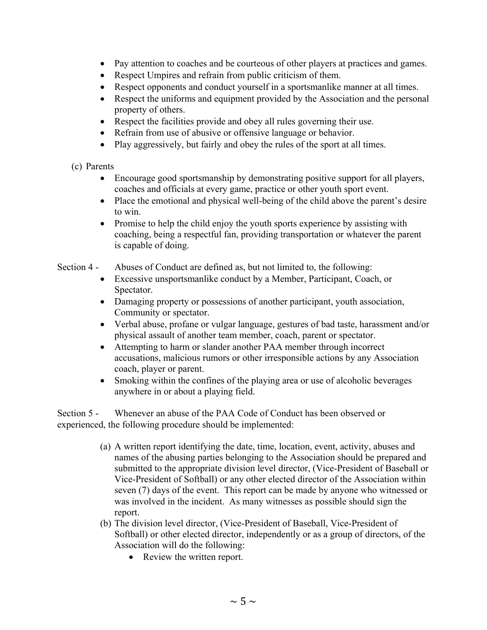- Pay attention to coaches and be courteous of other players at practices and games.
- Respect Umpires and refrain from public criticism of them.
- Respect opponents and conduct yourself in a sportsmanlike manner at all times.
- Respect the uniforms and equipment provided by the Association and the personal property of others.
- Respect the facilities provide and obey all rules governing their use.
- Refrain from use of abusive or offensive language or behavior.
- Play aggressively, but fairly and obey the rules of the sport at all times.
- (c) Parents
	- Encourage good sportsmanship by demonstrating positive support for all players, coaches and officials at every game, practice or other youth sport event.
	- Place the emotional and physical well-being of the child above the parent's desire to win.
	- Promise to help the child enjoy the youth sports experience by assisting with coaching, being a respectful fan, providing transportation or whatever the parent is capable of doing.
- Section 4 Abuses of Conduct are defined as, but not limited to, the following:
	- Excessive unsportsmanlike conduct by a Member, Participant, Coach, or Spectator.
	- Damaging property or possessions of another participant, youth association, Community or spectator.
	- Verbal abuse, profane or vulgar language, gestures of bad taste, harassment and/or physical assault of another team member, coach, parent or spectator.
	- Attempting to harm or slander another PAA member through incorrect accusations, malicious rumors or other irresponsible actions by any Association coach, player or parent.
	- Smoking within the confines of the playing area or use of alcoholic beverages anywhere in or about a playing field.

Section 5 - Whenever an abuse of the PAA Code of Conduct has been observed or experienced, the following procedure should be implemented:

- (a) A written report identifying the date, time, location, event, activity, abuses and names of the abusing parties belonging to the Association should be prepared and submitted to the appropriate division level director, (Vice-President of Baseball or Vice-President of Softball) or any other elected director of the Association within seven (7) days of the event. This report can be made by anyone who witnessed or was involved in the incident. As many witnesses as possible should sign the report.
- (b) The division level director, (Vice-President of Baseball, Vice-President of Softball) or other elected director, independently or as a group of directors, of the Association will do the following:
	- Review the written report.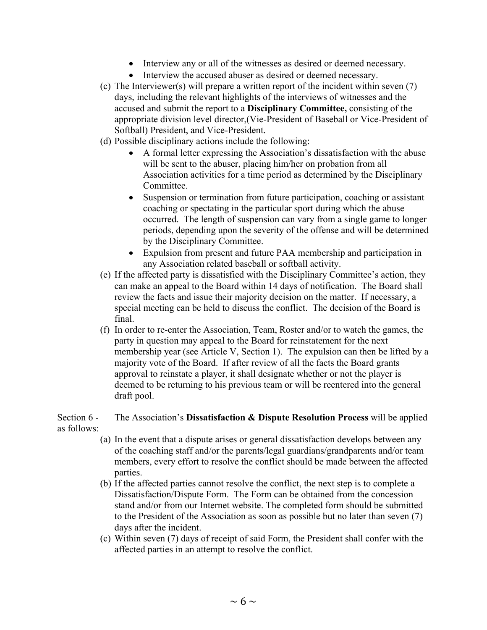- Interview any or all of the witnesses as desired or deemed necessary.
- Interview the accused abuser as desired or deemed necessary.
- (c) The Interviewer(s) will prepare a written report of the incident within seven (7) days, including the relevant highlights of the interviews of witnesses and the accused and submit the report to a **Disciplinary Committee,** consisting of the appropriate division level director,(Vie-President of Baseball or Vice-President of Softball) President, and Vice-President.
- (d) Possible disciplinary actions include the following:
	- A formal letter expressing the Association's dissatisfaction with the abuse will be sent to the abuser, placing him/her on probation from all Association activities for a time period as determined by the Disciplinary Committee.
	- Suspension or termination from future participation, coaching or assistant coaching or spectating in the particular sport during which the abuse occurred. The length of suspension can vary from a single game to longer periods, depending upon the severity of the offense and will be determined by the Disciplinary Committee.
	- Expulsion from present and future PAA membership and participation in any Association related baseball or softball activity.
- (e) If the affected party is dissatisfied with the Disciplinary Committee's action, they can make an appeal to the Board within 14 days of notification. The Board shall review the facts and issue their majority decision on the matter. If necessary, a special meeting can be held to discuss the conflict. The decision of the Board is final.
- (f) In order to re-enter the Association, Team, Roster and/or to watch the games, the party in question may appeal to the Board for reinstatement for the next membership year (see Article V, Section 1). The expulsion can then be lifted by a majority vote of the Board. If after review of all the facts the Board grants approval to reinstate a player, it shall designate whether or not the player is deemed to be returning to his previous team or will be reentered into the general draft pool.

#### Section 6 - The Association's **Dissatisfaction & Dispute Resolution Process** will be applied as follows:

- (a) In the event that a dispute arises or general dissatisfaction develops between any of the coaching staff and/or the parents/legal guardians/grandparents and/or team members, every effort to resolve the conflict should be made between the affected parties.
- (b) If the affected parties cannot resolve the conflict, the next step is to complete a Dissatisfaction/Dispute Form. The Form can be obtained from the concession stand and/or from our Internet website. The completed form should be submitted to the President of the Association as soon as possible but no later than seven (7) days after the incident.
- (c) Within seven (7) days of receipt of said Form, the President shall confer with the affected parties in an attempt to resolve the conflict.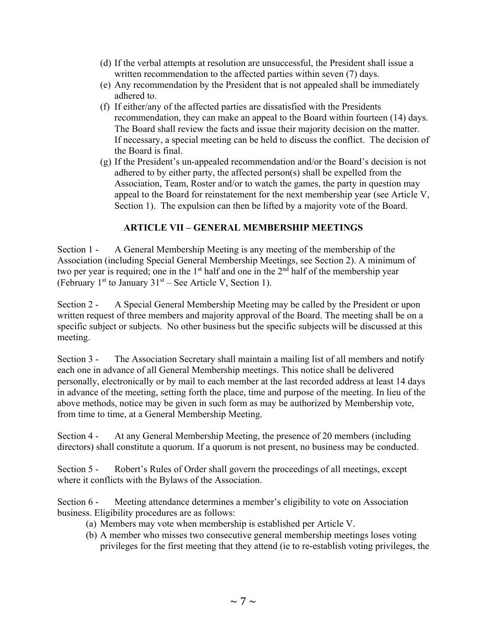- (d) If the verbal attempts at resolution are unsuccessful, the President shall issue a written recommendation to the affected parties within seven (7) days.
- (e) Any recommendation by the President that is not appealed shall be immediately adhered to.
- (f) If either/any of the affected parties are dissatisfied with the Presidents recommendation, they can make an appeal to the Board within fourteen (14) days. The Board shall review the facts and issue their majority decision on the matter. If necessary, a special meeting can be held to discuss the conflict. The decision of the Board is final.
- (g) If the President's un-appealed recommendation and/or the Board's decision is not adhered to by either party, the affected person(s) shall be expelled from the Association, Team, Roster and/or to watch the games, the party in question may appeal to the Board for reinstatement for the next membership year (see Article V, Section 1). The expulsion can then be lifted by a majority vote of the Board.

### **ARTICLE VII – GENERAL MEMBERSHIP MEETINGS**

Section 1 - A General Membership Meeting is any meeting of the membership of the Association (including Special General Membership Meetings, see Section 2). A minimum of two per year is required; one in the  $1<sup>st</sup>$  half and one in the  $2<sup>nd</sup>$  half of the membership year (February 1<sup>st</sup> to January  $31<sup>st</sup> -$  See Article V, Section 1).

Section 2 - A Special General Membership Meeting may be called by the President or upon written request of three members and majority approval of the Board. The meeting shall be on a specific subject or subjects. No other business but the specific subjects will be discussed at this meeting.

Section 3 - The Association Secretary shall maintain a mailing list of all members and notify each one in advance of all General Membership meetings. This notice shall be delivered personally, electronically or by mail to each member at the last recorded address at least 14 days in advance of the meeting, setting forth the place, time and purpose of the meeting. In lieu of the above methods, notice may be given in such form as may be authorized by Membership vote, from time to time, at a General Membership Meeting.

Section 4 - At any General Membership Meeting, the presence of 20 members (including directors) shall constitute a quorum. If a quorum is not present, no business may be conducted.

Section 5 - Robert's Rules of Order shall govern the proceedings of all meetings, except where it conflicts with the Bylaws of the Association.

Section 6 - Meeting attendance determines a member's eligibility to vote on Association business. Eligibility procedures are as follows:

- (a) Members may vote when membership is established per Article V.
- (b) A member who misses two consecutive general membership meetings loses voting privileges for the first meeting that they attend (ie to re-establish voting privileges, the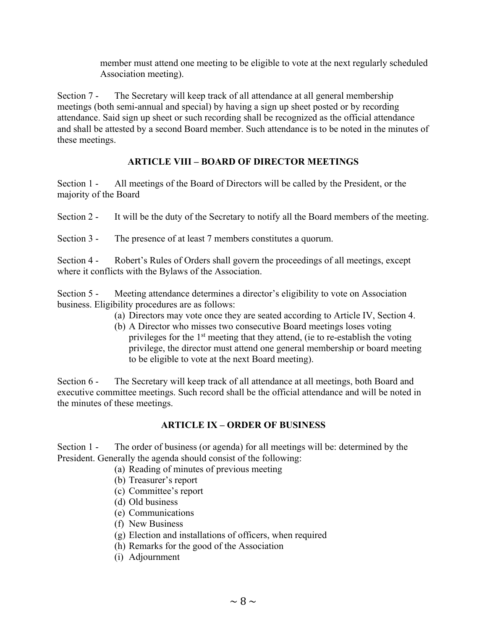member must attend one meeting to be eligible to vote at the next regularly scheduled Association meeting).

Section 7 - The Secretary will keep track of all attendance at all general membership meetings (both semi-annual and special) by having a sign up sheet posted or by recording attendance. Said sign up sheet or such recording shall be recognized as the official attendance and shall be attested by a second Board member. Such attendance is to be noted in the minutes of these meetings.

## **ARTICLE VIII – BOARD OF DIRECTOR MEETINGS**

Section 1 - All meetings of the Board of Directors will be called by the President, or the majority of the Board

Section 2 - It will be the duty of the Secretary to notify all the Board members of the meeting.

Section 3 - The presence of at least 7 members constitutes a quorum.

Section 4 - Robert's Rules of Orders shall govern the proceedings of all meetings, except where it conflicts with the Bylaws of the Association.

Section 5 - Meeting attendance determines a director's eligibility to vote on Association business. Eligibility procedures are as follows:

- (a) Directors may vote once they are seated according to Article IV, Section 4.
- (b) A Director who misses two consecutive Board meetings loses voting privileges for the  $1<sup>st</sup>$  meeting that they attend, (ie to re-establish the voting privilege, the director must attend one general membership or board meeting to be eligible to vote at the next Board meeting).

Section 6 - The Secretary will keep track of all attendance at all meetings, both Board and executive committee meetings. Such record shall be the official attendance and will be noted in the minutes of these meetings.

#### **ARTICLE IX – ORDER OF BUSINESS**

Section 1 - The order of business (or agenda) for all meetings will be: determined by the President. Generally the agenda should consist of the following:

- (a) Reading of minutes of previous meeting
	- (b) Treasurer's report
	- (c) Committee's report
	- (d) Old business
	- (e) Communications
	- (f) New Business
	- (g) Election and installations of officers, when required
	- (h) Remarks for the good of the Association
	- (i) Adjournment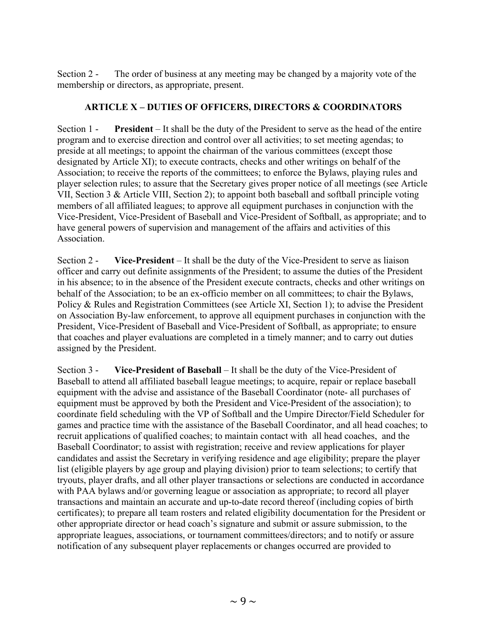Section 2 - The order of business at any meeting may be changed by a majority vote of the membership or directors, as appropriate, present.

#### **ARTICLE X – DUTIES OF OFFICERS, DIRECTORS & COORDINATORS**

Section 1 - **President** – It shall be the duty of the President to serve as the head of the entire program and to exercise direction and control over all activities; to set meeting agendas; to preside at all meetings; to appoint the chairman of the various committees (except those designated by Article XI); to execute contracts, checks and other writings on behalf of the Association; to receive the reports of the committees; to enforce the Bylaws, playing rules and player selection rules; to assure that the Secretary gives proper notice of all meetings (see Article VII, Section 3 & Article VIII, Section 2); to appoint both baseball and softball principle voting members of all affiliated leagues; to approve all equipment purchases in conjunction with the Vice-President, Vice-President of Baseball and Vice-President of Softball, as appropriate; and to have general powers of supervision and management of the affairs and activities of this Association.

Section 2 - **Vice-President** – It shall be the duty of the Vice-President to serve as liaison officer and carry out definite assignments of the President; to assume the duties of the President in his absence; to in the absence of the President execute contracts, checks and other writings on behalf of the Association; to be an ex-officio member on all committees; to chair the Bylaws, Policy & Rules and Registration Committees (see Article XI, Section 1); to advise the President on Association By-law enforcement, to approve all equipment purchases in conjunction with the President, Vice-President of Baseball and Vice-President of Softball, as appropriate; to ensure that coaches and player evaluations are completed in a timely manner; and to carry out duties assigned by the President.

Section 3 - **Vice-President of Baseball** – It shall be the duty of the Vice-President of Baseball to attend all affiliated baseball league meetings; to acquire, repair or replace baseball equipment with the advise and assistance of the Baseball Coordinator (note- all purchases of equipment must be approved by both the President and Vice-President of the association); to coordinate field scheduling with the VP of Softball and the Umpire Director/Field Scheduler for games and practice time with the assistance of the Baseball Coordinator, and all head coaches; to recruit applications of qualified coaches; to maintain contact with all head coaches, and the Baseball Coordinator; to assist with registration; receive and review applications for player candidates and assist the Secretary in verifying residence and age eligibility; prepare the player list (eligible players by age group and playing division) prior to team selections; to certify that tryouts, player drafts, and all other player transactions or selections are conducted in accordance with PAA bylaws and/or governing league or association as appropriate; to record all player transactions and maintain an accurate and up-to-date record thereof (including copies of birth certificates); to prepare all team rosters and related eligibility documentation for the President or other appropriate director or head coach's signature and submit or assure submission, to the appropriate leagues, associations, or tournament committees/directors; and to notify or assure notification of any subsequent player replacements or changes occurred are provided to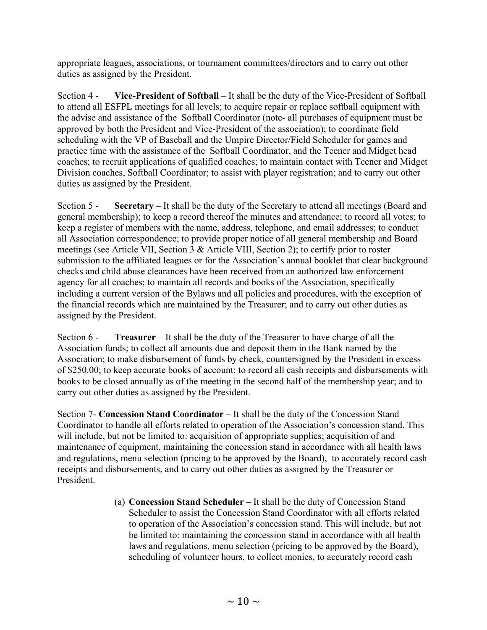appropriate leagues, associations, or tournament committees/directors and to carry out other duties as assigned by the President.

Section 4 - **Vice-President of Softball** – It shall be the duty of the Vice-President of Softball to attend all ESFPL meetings for all levels; to acquire repair or replace softball equipment with the advise and assistance of the Softball Coordinator (note- all purchases of equipment must be approved by both the President and Vice-President of the association); to coordinate field scheduling with the VP of Baseball and the Umpire Director/Field Scheduler for games and practice time with the assistance of the Softball Coordinator, and the Teener and Midget head coaches; to recruit applications of qualified coaches; to maintain contact with Teener and Midget Division coaches, Softball Coordinator; to assist with player registration; and to carry out other duties as assigned by the President.

Section 5 - **Secretary** – It shall be the duty of the Secretary to attend all meetings (Board and general membership); to keep a record thereof the minutes and attendance; to record all votes; to keep a register of members with the name, address, telephone, and email addresses; to conduct all Association correspondence; to provide proper notice of all general membership and Board meetings (see Article VII, Section 3 & Article VIII, Section 2); to certify prior to roster submission to the affiliated leagues or for the Association's annual booklet that clear background checks and child abuse clearances have been received from an authorized law enforcement agency for all coaches; to maintain all records and books of the Association, specifically including a current version of the Bylaws and all policies and procedures, with the exception of the financial records which are maintained by the Treasurer; and to carry out other duties as assigned by the President.

Section 6 - **Treasurer** – It shall be the duty of the Treasurer to have charge of all the Association funds; to collect all amounts due and deposit them in the Bank named by the Association; to make disbursement of funds by check, countersigned by the President in excess of \$250.00; to keep accurate books of account; to record all cash receipts and disbursements with books to be closed annually as of the meeting in the second half of the membership year; and to carry out other duties as assigned by the President.

Section 7- **Concession Stand Coordinator** – It shall be the duty of the Concession Stand Coordinator to handle all efforts related to operation of the Association's concession stand. This will include, but not be limited to: acquisition of appropriate supplies; acquisition of and maintenance of equipment, maintaining the concession stand in accordance with all health laws and regulations, menu selection (pricing to be approved by the Board), to accurately record cash receipts and disbursements, and to carry out other duties as assigned by the Treasurer or President.

> (a) **Concession Stand Scheduler** – It shall be the duty of Concession Stand Scheduler to assist the Concession Stand Coordinator with all efforts related to operation of the Association's concession stand. This will include, but not be limited to: maintaining the concession stand in accordance with all health laws and regulations, menu selection (pricing to be approved by the Board), scheduling of volunteer hours, to collect monies, to accurately record cash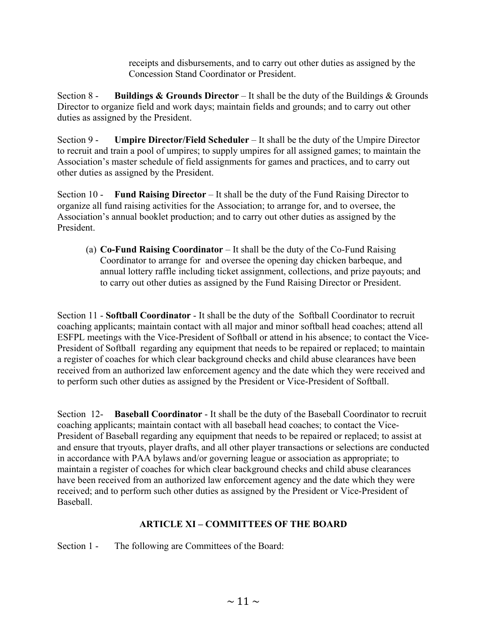receipts and disbursements, and to carry out other duties as assigned by the Concession Stand Coordinator or President.

Section 8 - **Buildings & Grounds Director** – It shall be the duty of the Buildings & Grounds Director to organize field and work days; maintain fields and grounds; and to carry out other duties as assigned by the President.

Section 9 - **Umpire Director/Field Scheduler** – It shall be the duty of the Umpire Director to recruit and train a pool of umpires; to supply umpires for all assigned games; to maintain the Association's master schedule of field assignments for games and practices, and to carry out other duties as assigned by the President.

Section 10 - **Fund Raising Director** – It shall be the duty of the Fund Raising Director to organize all fund raising activities for the Association; to arrange for, and to oversee, the Association's annual booklet production; and to carry out other duties as assigned by the President.

(a) **Co-Fund Raising Coordinator** – It shall be the duty of the Co-Fund Raising Coordinator to arrange for and oversee the opening day chicken barbeque, and annual lottery raffle including ticket assignment, collections, and prize payouts; and to carry out other duties as assigned by the Fund Raising Director or President.

Section 11 - **Softball Coordinator** - It shall be the duty of the Softball Coordinator to recruit coaching applicants; maintain contact with all major and minor softball head coaches; attend all ESFPL meetings with the Vice-President of Softball or attend in his absence; to contact the Vice-President of Softball regarding any equipment that needs to be repaired or replaced; to maintain a register of coaches for which clear background checks and child abuse clearances have been received from an authorized law enforcement agency and the date which they were received and to perform such other duties as assigned by the President or Vice-President of Softball.

Section 12- **Baseball Coordinator** - It shall be the duty of the Baseball Coordinator to recruit coaching applicants; maintain contact with all baseball head coaches; to contact the Vice-President of Baseball regarding any equipment that needs to be repaired or replaced; to assist at and ensure that tryouts, player drafts, and all other player transactions or selections are conducted in accordance with PAA bylaws and/or governing league or association as appropriate; to maintain a register of coaches for which clear background checks and child abuse clearances have been received from an authorized law enforcement agency and the date which they were received; and to perform such other duties as assigned by the President or Vice-President of Baseball.

## **ARTICLE XI – COMMITTEES OF THE BOARD**

Section 1 - The following are Committees of the Board: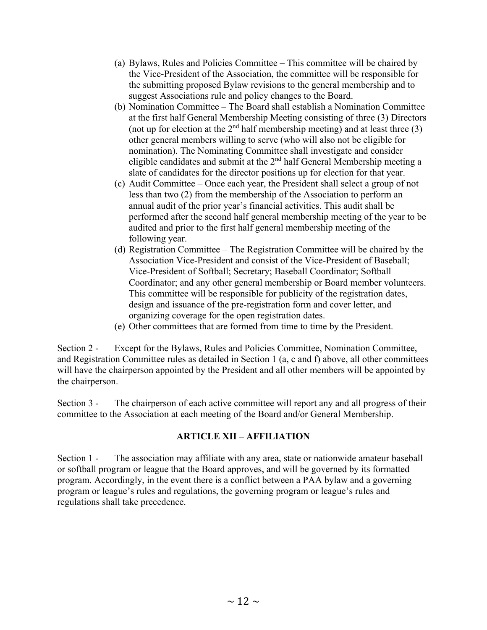- (a) Bylaws, Rules and Policies Committee This committee will be chaired by the Vice-President of the Association, the committee will be responsible for the submitting proposed Bylaw revisions to the general membership and to suggest Associations rule and policy changes to the Board.
- (b) Nomination Committee The Board shall establish a Nomination Committee at the first half General Membership Meeting consisting of three (3) Directors (not up for election at the  $2<sup>nd</sup>$  half membership meeting) and at least three (3) other general members willing to serve (who will also not be eligible for nomination). The Nominating Committee shall investigate and consider eligible candidates and submit at the 2nd half General Membership meeting a slate of candidates for the director positions up for election for that year.
- (c) Audit Committee Once each year, the President shall select a group of not less than two (2) from the membership of the Association to perform an annual audit of the prior year's financial activities. This audit shall be performed after the second half general membership meeting of the year to be audited and prior to the first half general membership meeting of the following year.
- (d) Registration Committee The Registration Committee will be chaired by the Association Vice-President and consist of the Vice-President of Baseball; Vice-President of Softball; Secretary; Baseball Coordinator; Softball Coordinator; and any other general membership or Board member volunteers. This committee will be responsible for publicity of the registration dates, design and issuance of the pre-registration form and cover letter, and organizing coverage for the open registration dates.
- (e) Other committees that are formed from time to time by the President.

Section 2 - Except for the Bylaws, Rules and Policies Committee, Nomination Committee, and Registration Committee rules as detailed in Section 1 (a, c and f) above, all other committees will have the chairperson appointed by the President and all other members will be appointed by the chairperson.

Section 3 - The chairperson of each active committee will report any and all progress of their committee to the Association at each meeting of the Board and/or General Membership.

#### **ARTICLE XII – AFFILIATION**

Section 1 - The association may affiliate with any area, state or nationwide amateur baseball or softball program or league that the Board approves, and will be governed by its formatted program. Accordingly, in the event there is a conflict between a PAA bylaw and a governing program or league's rules and regulations, the governing program or league's rules and regulations shall take precedence.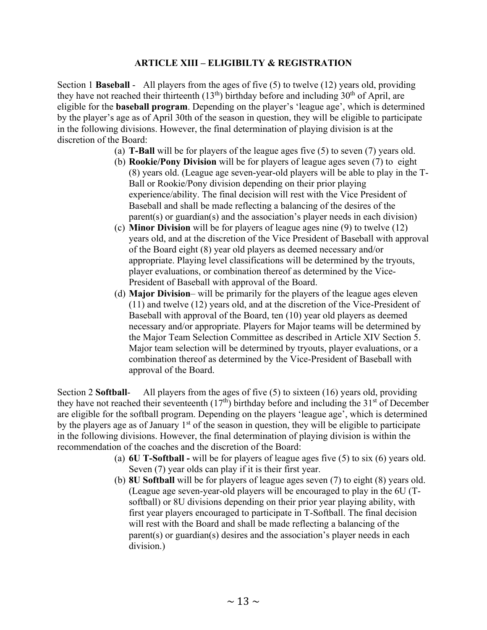#### **ARTICLE XIII – ELIGIBILTY & REGISTRATION**

Section 1 **Baseball** - All players from the ages of five (5) to twelve (12) years old, providing they have not reached their thirteenth  $(13<sup>th</sup>)$  birthday before and including  $30<sup>th</sup>$  of April, are eligible for the **baseball program**. Depending on the player's 'league age', which is determined by the player's age as of April 30th of the season in question, they will be eligible to participate in the following divisions. However, the final determination of playing division is at the discretion of the Board:

- (a) **T-Ball** will be for players of the league ages five (5) to seven (7) years old.
- (b) **Rookie/Pony Division** will be for players of league ages seven (7) to eight (8) years old. (League age seven-year-old players will be able to play in the T-Ball or Rookie/Pony division depending on their prior playing experience/ability. The final decision will rest with the Vice President of Baseball and shall be made reflecting a balancing of the desires of the parent(s) or guardian(s) and the association's player needs in each division)
- (c) **Minor Division** will be for players of league ages nine (9) to twelve (12) years old, and at the discretion of the Vice President of Baseball with approval of the Board eight (8) year old players as deemed necessary and/or appropriate. Playing level classifications will be determined by the tryouts, player evaluations, or combination thereof as determined by the Vice-President of Baseball with approval of the Board.
- (d) **Major Division** will be primarily for the players of the league ages eleven (11) and twelve (12) years old, and at the discretion of the Vice-President of Baseball with approval of the Board, ten (10) year old players as deemed necessary and/or appropriate. Players for Major teams will be determined by the Major Team Selection Committee as described in Article XIV Section 5. Major team selection will be determined by tryouts, player evaluations, or a combination thereof as determined by the Vice-President of Baseball with approval of the Board.

Section 2 **Softball**- All players from the ages of five (5) to sixteen (16) years old, providing they have not reached their seventeenth  $(17<sup>th</sup>)$  birthday before and including the 31<sup>st</sup> of December are eligible for the softball program. Depending on the players 'league age', which is determined by the players age as of January  $1<sup>st</sup>$  of the season in question, they will be eligible to participate in the following divisions. However, the final determination of playing division is within the recommendation of the coaches and the discretion of the Board:

- (a) **6U T-Softball -** will be for players of league ages five (5) to six (6) years old. Seven (7) year olds can play if it is their first year.
- (b) **8U Softball** will be for players of league ages seven (7) to eight (8) years old. (League age seven-year-old players will be encouraged to play in the 6U (Tsoftball) or 8U divisions depending on their prior year playing ability, with first year players encouraged to participate in T-Softball. The final decision will rest with the Board and shall be made reflecting a balancing of the parent(s) or guardian(s) desires and the association's player needs in each division.)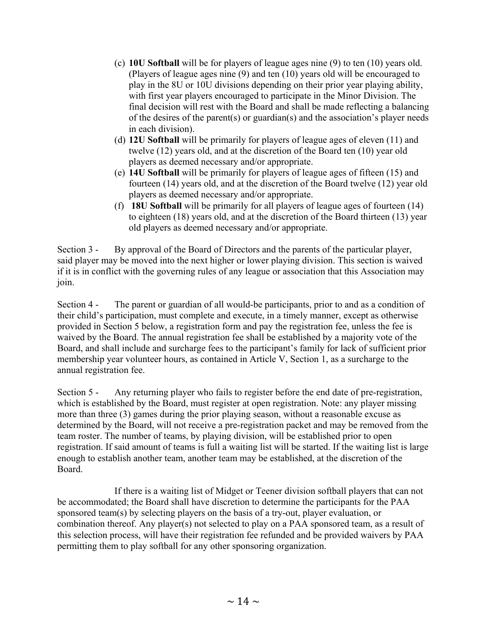- (c) **10U Softball** will be for players of league ages nine (9) to ten (10) years old. (Players of league ages nine (9) and ten (10) years old will be encouraged to play in the 8U or 10U divisions depending on their prior year playing ability, with first year players encouraged to participate in the Minor Division. The final decision will rest with the Board and shall be made reflecting a balancing of the desires of the parent(s) or guardian(s) and the association's player needs in each division).
- (d) **12U Softball** will be primarily for players of league ages of eleven (11) and twelve (12) years old, and at the discretion of the Board ten (10) year old players as deemed necessary and/or appropriate.
- (e) **14U Softball** will be primarily for players of league ages of fifteen (15) and fourteen (14) years old, and at the discretion of the Board twelve (12) year old players as deemed necessary and/or appropriate.
- (f) **18U Softball** will be primarily for all players of league ages of fourteen (14) to eighteen (18) years old, and at the discretion of the Board thirteen (13) year old players as deemed necessary and/or appropriate.

Section 3 - By approval of the Board of Directors and the parents of the particular player, said player may be moved into the next higher or lower playing division. This section is waived if it is in conflict with the governing rules of any league or association that this Association may join.

Section 4 - The parent or guardian of all would-be participants, prior to and as a condition of their child's participation, must complete and execute, in a timely manner, except as otherwise provided in Section 5 below, a registration form and pay the registration fee, unless the fee is waived by the Board. The annual registration fee shall be established by a majority vote of the Board, and shall include and surcharge fees to the participant's family for lack of sufficient prior membership year volunteer hours, as contained in Article V, Section 1, as a surcharge to the annual registration fee.

Section 5 - Any returning player who fails to register before the end date of pre-registration, which is established by the Board, must register at open registration. Note: any player missing more than three (3) games during the prior playing season, without a reasonable excuse as determined by the Board, will not receive a pre-registration packet and may be removed from the team roster. The number of teams, by playing division, will be established prior to open registration. If said amount of teams is full a waiting list will be started. If the waiting list is large enough to establish another team, another team may be established, at the discretion of the Board.

 If there is a waiting list of Midget or Teener division softball players that can not be accommodated; the Board shall have discretion to determine the participants for the PAA sponsored team(s) by selecting players on the basis of a try-out, player evaluation, or combination thereof. Any player(s) not selected to play on a PAA sponsored team, as a result of this selection process, will have their registration fee refunded and be provided waivers by PAA permitting them to play softball for any other sponsoring organization.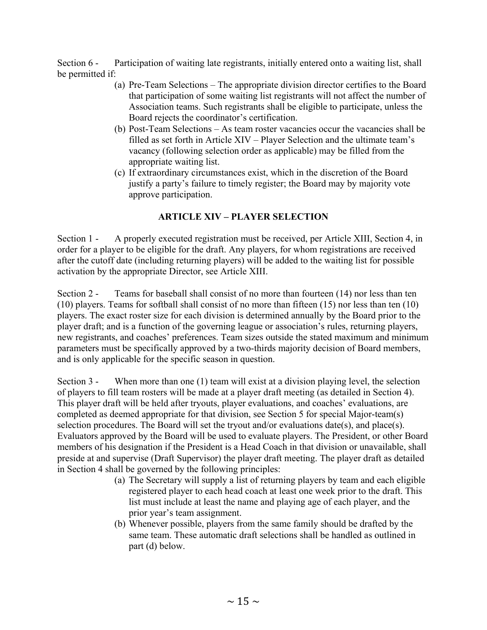Section 6 - Participation of waiting late registrants, initially entered onto a waiting list, shall be permitted if:

- (a) Pre-Team Selections The appropriate division director certifies to the Board that participation of some waiting list registrants will not affect the number of Association teams. Such registrants shall be eligible to participate, unless the Board rejects the coordinator's certification.
- (b) Post-Team Selections As team roster vacancies occur the vacancies shall be filled as set forth in Article XIV – Player Selection and the ultimate team's vacancy (following selection order as applicable) may be filled from the appropriate waiting list.
- (c) If extraordinary circumstances exist, which in the discretion of the Board justify a party's failure to timely register; the Board may by majority vote approve participation.

### **ARTICLE XIV – PLAYER SELECTION**

Section 1 - A properly executed registration must be received, per Article XIII, Section 4, in order for a player to be eligible for the draft. Any players, for whom registrations are received after the cutoff date (including returning players) will be added to the waiting list for possible activation by the appropriate Director, see Article XIII.

Section 2 - Teams for baseball shall consist of no more than fourteen (14) nor less than ten (10) players. Teams for softball shall consist of no more than fifteen (15) nor less than ten (10) players. The exact roster size for each division is determined annually by the Board prior to the player draft; and is a function of the governing league or association's rules, returning players, new registrants, and coaches' preferences. Team sizes outside the stated maximum and minimum parameters must be specifically approved by a two-thirds majority decision of Board members, and is only applicable for the specific season in question.

Section 3 - When more than one (1) team will exist at a division playing level, the selection of players to fill team rosters will be made at a player draft meeting (as detailed in Section 4). This player draft will be held after tryouts, player evaluations, and coaches' evaluations, are completed as deemed appropriate for that division, see Section 5 for special Major-team(s) selection procedures. The Board will set the tryout and/or evaluations date(s), and place(s). Evaluators approved by the Board will be used to evaluate players. The President, or other Board members of his designation if the President is a Head Coach in that division or unavailable, shall preside at and supervise (Draft Supervisor) the player draft meeting. The player draft as detailed in Section 4 shall be governed by the following principles:

- (a) The Secretary will supply a list of returning players by team and each eligible registered player to each head coach at least one week prior to the draft. This list must include at least the name and playing age of each player, and the prior year's team assignment.
- (b) Whenever possible, players from the same family should be drafted by the same team. These automatic draft selections shall be handled as outlined in part (d) below.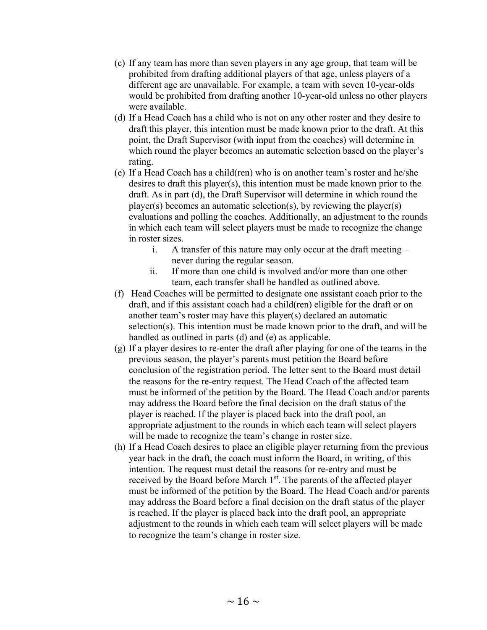- (c) If any team has more than seven players in any age group, that team will be prohibited from drafting additional players of that age, unless players of a different age are unavailable. For example, a team with seven 10-year-olds would be prohibited from drafting another 10-year-old unless no other players were available.
- (d) If a Head Coach has a child who is not on any other roster and they desire to draft this player, this intention must be made known prior to the draft. At this point, the Draft Supervisor (with input from the coaches) will determine in which round the player becomes an automatic selection based on the player's rating.
- (e) If a Head Coach has a child(ren) who is on another team's roster and he/she desires to draft this player(s), this intention must be made known prior to the draft. As in part (d), the Draft Supervisor will determine in which round the player(s) becomes an automatic selection(s), by reviewing the player(s) evaluations and polling the coaches. Additionally, an adjustment to the rounds in which each team will select players must be made to recognize the change in roster sizes.
	- i. A transfer of this nature may only occur at the draft meeting never during the regular season.
	- ii. If more than one child is involved and/or more than one other team, each transfer shall be handled as outlined above.
- (f) Head Coaches will be permitted to designate one assistant coach prior to the draft, and if this assistant coach had a child(ren) eligible for the draft or on another team's roster may have this player(s) declared an automatic selection(s). This intention must be made known prior to the draft, and will be handled as outlined in parts (d) and (e) as applicable.
- (g) If a player desires to re-enter the draft after playing for one of the teams in the previous season, the player's parents must petition the Board before conclusion of the registration period. The letter sent to the Board must detail the reasons for the re-entry request. The Head Coach of the affected team must be informed of the petition by the Board. The Head Coach and/or parents may address the Board before the final decision on the draft status of the player is reached. If the player is placed back into the draft pool, an appropriate adjustment to the rounds in which each team will select players will be made to recognize the team's change in roster size.
- (h) If a Head Coach desires to place an eligible player returning from the previous year back in the draft, the coach must inform the Board, in writing, of this intention. The request must detail the reasons for re-entry and must be received by the Board before March 1<sup>st</sup>. The parents of the affected player must be informed of the petition by the Board. The Head Coach and/or parents may address the Board before a final decision on the draft status of the player is reached. If the player is placed back into the draft pool, an appropriate adjustment to the rounds in which each team will select players will be made to recognize the team's change in roster size.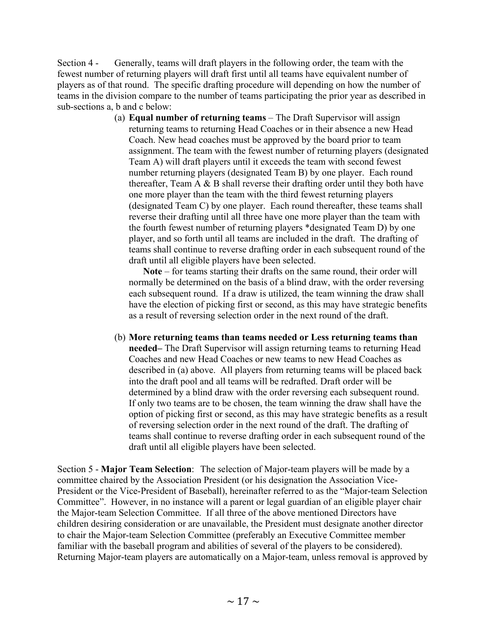Section 4 - Generally, teams will draft players in the following order, the team with the fewest number of returning players will draft first until all teams have equivalent number of players as of that round. The specific drafting procedure will depending on how the number of teams in the division compare to the number of teams participating the prior year as described in sub-sections a, b and c below:

> (a) **Equal number of returning teams** – The Draft Supervisor will assign returning teams to returning Head Coaches or in their absence a new Head Coach. New head coaches must be approved by the board prior to team assignment. The team with the fewest number of returning players (designated Team A) will draft players until it exceeds the team with second fewest number returning players (designated Team B) by one player. Each round thereafter, Team A & B shall reverse their drafting order until they both have one more player than the team with the third fewest returning players (designated Team C) by one player. Each round thereafter, these teams shall reverse their drafting until all three have one more player than the team with the fourth fewest number of returning players \*designated Team D) by one player, and so forth until all teams are included in the draft. The drafting of teams shall continue to reverse drafting order in each subsequent round of the draft until all eligible players have been selected.

Note – for teams starting their drafts on the same round, their order will normally be determined on the basis of a blind draw, with the order reversing each subsequent round. If a draw is utilized, the team winning the draw shall have the election of picking first or second, as this may have strategic benefits as a result of reversing selection order in the next round of the draft.

(b) **More returning teams than teams needed or Less returning teams than needed–** The Draft Supervisor will assign returning teams to returning Head Coaches and new Head Coaches or new teams to new Head Coaches as described in (a) above. All players from returning teams will be placed back into the draft pool and all teams will be redrafted. Draft order will be determined by a blind draw with the order reversing each subsequent round. If only two teams are to be chosen, the team winning the draw shall have the option of picking first or second, as this may have strategic benefits as a result of reversing selection order in the next round of the draft. The drafting of teams shall continue to reverse drafting order in each subsequent round of the draft until all eligible players have been selected.

Section 5 - **Major Team Selection**: The selection of Major-team players will be made by a committee chaired by the Association President (or his designation the Association Vice-President or the Vice-President of Baseball), hereinafter referred to as the "Major-team Selection Committee". However, in no instance will a parent or legal guardian of an eligible player chair the Major-team Selection Committee. If all three of the above mentioned Directors have children desiring consideration or are unavailable, the President must designate another director to chair the Major-team Selection Committee (preferably an Executive Committee member familiar with the baseball program and abilities of several of the players to be considered). Returning Major-team players are automatically on a Major-team, unless removal is approved by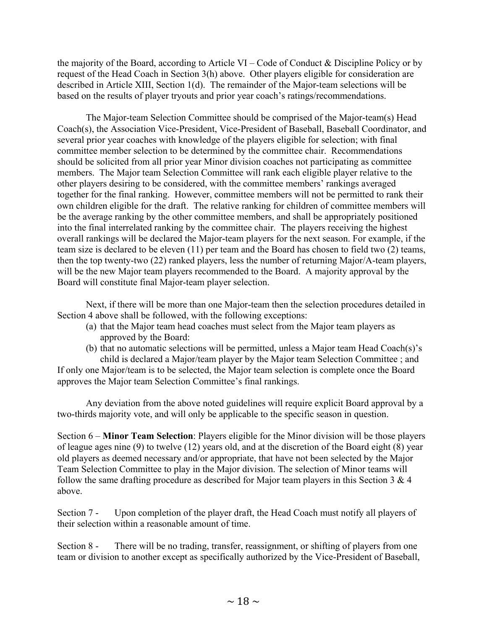the majority of the Board, according to Article VI – Code of Conduct & Discipline Policy or by request of the Head Coach in Section 3(h) above. Other players eligible for consideration are described in Article XIII, Section 1(d). The remainder of the Major-team selections will be based on the results of player tryouts and prior year coach's ratings/recommendations.

 The Major-team Selection Committee should be comprised of the Major-team(s) Head Coach(s), the Association Vice-President, Vice-President of Baseball, Baseball Coordinator, and several prior year coaches with knowledge of the players eligible for selection; with final committee member selection to be determined by the committee chair. Recommendations should be solicited from all prior year Minor division coaches not participating as committee members. The Major team Selection Committee will rank each eligible player relative to the other players desiring to be considered, with the committee members' rankings averaged together for the final ranking. However, committee members will not be permitted to rank their own children eligible for the draft. The relative ranking for children of committee members will be the average ranking by the other committee members, and shall be appropriately positioned into the final interrelated ranking by the committee chair. The players receiving the highest overall rankings will be declared the Major-team players for the next season. For example, if the team size is declared to be eleven (11) per team and the Board has chosen to field two (2) teams, then the top twenty-two (22) ranked players, less the number of returning Major/A-team players, will be the new Major team players recommended to the Board. A majority approval by the Board will constitute final Major-team player selection.

 Next, if there will be more than one Major-team then the selection procedures detailed in Section 4 above shall be followed, with the following exceptions:

- (a) that the Major team head coaches must select from the Major team players as approved by the Board:
- (b) that no automatic selections will be permitted, unless a Major team Head Coach(s)'s child is declared a Major/team player by the Major team Selection Committee ; and

If only one Major/team is to be selected, the Major team selection is complete once the Board approves the Major team Selection Committee's final rankings.

 Any deviation from the above noted guidelines will require explicit Board approval by a two-thirds majority vote, and will only be applicable to the specific season in question.

Section 6 – **Minor Team Selection**: Players eligible for the Minor division will be those players of league ages nine (9) to twelve (12) years old, and at the discretion of the Board eight (8) year old players as deemed necessary and/or appropriate, that have not been selected by the Major Team Selection Committee to play in the Major division. The selection of Minor teams will follow the same drafting procedure as described for Major team players in this Section  $3 \& 4$ above.

Section 7 - Upon completion of the player draft, the Head Coach must notify all players of their selection within a reasonable amount of time.

Section 8 - There will be no trading, transfer, reassignment, or shifting of players from one team or division to another except as specifically authorized by the Vice-President of Baseball,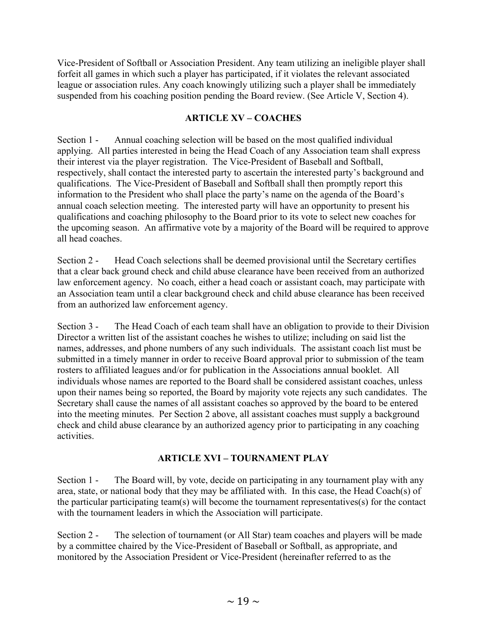Vice-President of Softball or Association President. Any team utilizing an ineligible player shall forfeit all games in which such a player has participated, if it violates the relevant associated league or association rules. Any coach knowingly utilizing such a player shall be immediately suspended from his coaching position pending the Board review. (See Article V, Section 4).

## **ARTICLE XV – COACHES**

Section 1 - Annual coaching selection will be based on the most qualified individual applying. All parties interested in being the Head Coach of any Association team shall express their interest via the player registration. The Vice-President of Baseball and Softball, respectively, shall contact the interested party to ascertain the interested party's background and qualifications. The Vice-President of Baseball and Softball shall then promptly report this information to the President who shall place the party's name on the agenda of the Board's annual coach selection meeting. The interested party will have an opportunity to present his qualifications and coaching philosophy to the Board prior to its vote to select new coaches for the upcoming season. An affirmative vote by a majority of the Board will be required to approve all head coaches.

Section 2 - Head Coach selections shall be deemed provisional until the Secretary certifies that a clear back ground check and child abuse clearance have been received from an authorized law enforcement agency. No coach, either a head coach or assistant coach, may participate with an Association team until a clear background check and child abuse clearance has been received from an authorized law enforcement agency.

Section 3 - The Head Coach of each team shall have an obligation to provide to their Division Director a written list of the assistant coaches he wishes to utilize; including on said list the names, addresses, and phone numbers of any such individuals. The assistant coach list must be submitted in a timely manner in order to receive Board approval prior to submission of the team rosters to affiliated leagues and/or for publication in the Associations annual booklet. All individuals whose names are reported to the Board shall be considered assistant coaches, unless upon their names being so reported, the Board by majority vote rejects any such candidates. The Secretary shall cause the names of all assistant coaches so approved by the board to be entered into the meeting minutes. Per Section 2 above, all assistant coaches must supply a background check and child abuse clearance by an authorized agency prior to participating in any coaching activities.

#### **ARTICLE XVI – TOURNAMENT PLAY**

Section 1 - The Board will, by vote, decide on participating in any tournament play with any area, state, or national body that they may be affiliated with. In this case, the Head Coach(s) of the particular participating team(s) will become the tournament representatives(s) for the contact with the tournament leaders in which the Association will participate.

Section 2 - The selection of tournament (or All Star) team coaches and players will be made by a committee chaired by the Vice-President of Baseball or Softball, as appropriate, and monitored by the Association President or Vice-President (hereinafter referred to as the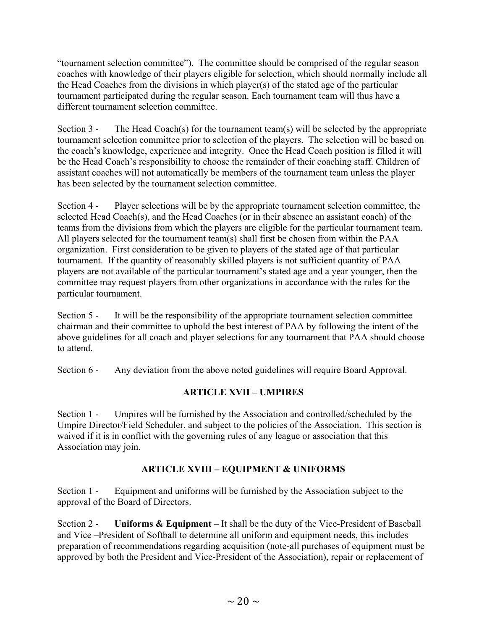"tournament selection committee"). The committee should be comprised of the regular season coaches with knowledge of their players eligible for selection, which should normally include all the Head Coaches from the divisions in which player(s) of the stated age of the particular tournament participated during the regular season. Each tournament team will thus have a different tournament selection committee.

Section 3 - The Head Coach(s) for the tournament team(s) will be selected by the appropriate tournament selection committee prior to selection of the players. The selection will be based on the coach's knowledge, experience and integrity. Once the Head Coach position is filled it will be the Head Coach's responsibility to choose the remainder of their coaching staff. Children of assistant coaches will not automatically be members of the tournament team unless the player has been selected by the tournament selection committee.

Section 4 - Player selections will be by the appropriate tournament selection committee, the selected Head Coach(s), and the Head Coaches (or in their absence an assistant coach) of the teams from the divisions from which the players are eligible for the particular tournament team. All players selected for the tournament team(s) shall first be chosen from within the PAA organization. First consideration to be given to players of the stated age of that particular tournament. If the quantity of reasonably skilled players is not sufficient quantity of PAA players are not available of the particular tournament's stated age and a year younger, then the committee may request players from other organizations in accordance with the rules for the particular tournament.

Section 5 - It will be the responsibility of the appropriate tournament selection committee chairman and their committee to uphold the best interest of PAA by following the intent of the above guidelines for all coach and player selections for any tournament that PAA should choose to attend.

Section 6 - Any deviation from the above noted guidelines will require Board Approval.

## **ARTICLE XVII – UMPIRES**

Section 1 - Umpires will be furnished by the Association and controlled/scheduled by the Umpire Director/Field Scheduler, and subject to the policies of the Association. This section is waived if it is in conflict with the governing rules of any league or association that this Association may join.

## **ARTICLE XVIII – EQUIPMENT & UNIFORMS**

Section 1 - Equipment and uniforms will be furnished by the Association subject to the approval of the Board of Directors.

Section 2 - **Uniforms & Equipment** – It shall be the duty of the Vice-President of Baseball and Vice –President of Softball to determine all uniform and equipment needs, this includes preparation of recommendations regarding acquisition (note-all purchases of equipment must be approved by both the President and Vice-President of the Association), repair or replacement of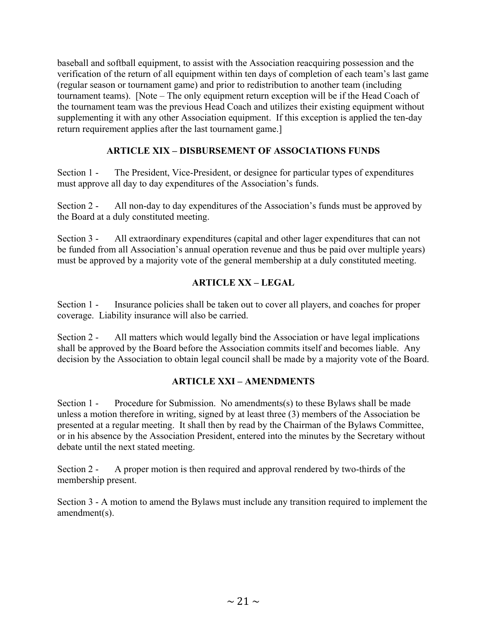baseball and softball equipment, to assist with the Association reacquiring possession and the verification of the return of all equipment within ten days of completion of each team's last game (regular season or tournament game) and prior to redistribution to another team (including tournament teams). [Note – The only equipment return exception will be if the Head Coach of the tournament team was the previous Head Coach and utilizes their existing equipment without supplementing it with any other Association equipment. If this exception is applied the ten-day return requirement applies after the last tournament game.]

### **ARTICLE XIX – DISBURSEMENT OF ASSOCIATIONS FUNDS**

Section 1 - The President, Vice-President, or designee for particular types of expenditures must approve all day to day expenditures of the Association's funds.

Section 2 - All non-day to day expenditures of the Association's funds must be approved by the Board at a duly constituted meeting.

Section 3 - All extraordinary expenditures (capital and other lager expenditures that can not be funded from all Association's annual operation revenue and thus be paid over multiple years) must be approved by a majority vote of the general membership at a duly constituted meeting.

### **ARTICLE XX – LEGAL**

Section 1 - Insurance policies shall be taken out to cover all players, and coaches for proper coverage. Liability insurance will also be carried.

Section 2 - All matters which would legally bind the Association or have legal implications shall be approved by the Board before the Association commits itself and becomes liable. Any decision by the Association to obtain legal council shall be made by a majority vote of the Board.

#### **ARTICLE XXI – AMENDMENTS**

Section 1 - Procedure for Submission. No amendments(s) to these Bylaws shall be made unless a motion therefore in writing, signed by at least three (3) members of the Association be presented at a regular meeting. It shall then by read by the Chairman of the Bylaws Committee, or in his absence by the Association President, entered into the minutes by the Secretary without debate until the next stated meeting.

Section 2 - A proper motion is then required and approval rendered by two-thirds of the membership present.

Section 3 - A motion to amend the Bylaws must include any transition required to implement the amendment(s).